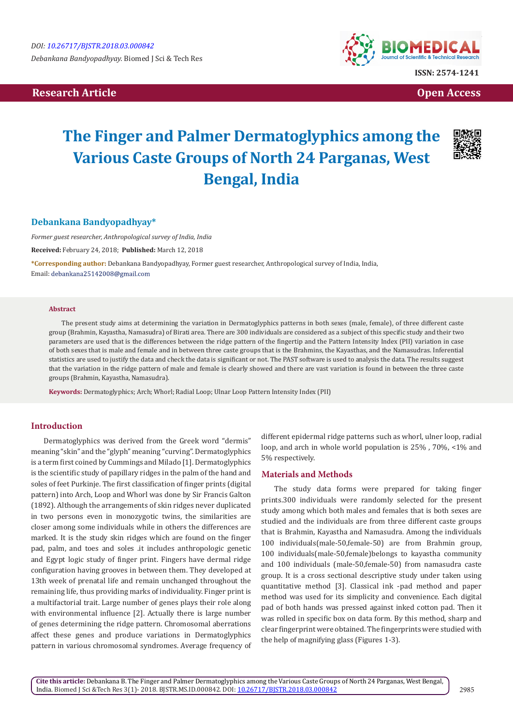# **Research Article Community Community Community Community Community Community Community Community Community Community Community Community Community Community Community Community Community Community Community Community Com**



# **The Finger and Palmer Dermatoglyphics among the Various Caste Groups of North 24 Parganas, West Bengal, India**



# **Debankana Bandyopadhyay\***

*Former guest researcher, Anthropological survey of India, India*

**Received:** February 24, 2018; **Published:** March 12, 2018

**\*Corresponding author:** Debankana Bandyopadhyay, Former guest researcher, Anthropological survey of India, India, Email: debankana25142008@gmail.com

#### **Abstract**

The present study aims at determining the variation in Dermatoglyphics patterns in both sexes (male, female), of three different caste group (Brahmin, Kayastha, Namasudra) of Birati area. There are 300 individuals are considered as a subject of this specific study and their two parameters are used that is the differences between the ridge pattern of the fingertip and the Pattern Intensity Index (PII) variation in case of both sexes that is male and female and in between three caste groups that is the Brahmins, the Kayasthas, and the Namasudras. Inferential statistics are used to justify the data and check the data is significant or not. The PAST software is used to analysis the data. The results suggest that the variation in the ridge pattern of male and female is clearly showed and there are vast variation is found in between the three caste groups (Brahmin, Kayastha, Namasudra).

**Keywords:** Dermatoglyphics; Arch; Whorl; Radial Loop; Ulnar Loop Pattern Intensity Index (PII)

## **Introduction**

Dermatoglyphics was derived from the Greek word "dermis" meaning "skin" and the "glyph" meaning "curving". Dermatoglyphics is a term first coined by Cummings and Milado [1]. Dermatoglyphics is the scientific study of papillary ridges in the palm of the hand and soles of feet Purkinje. The first classification of finger prints (digital pattern) into Arch, Loop and Whorl was done by Sir Francis Galton (1892). Although the arrangements of skin ridges never duplicated in two persons even in monozygotic twins, the similarities are closer among some individuals while in others the differences are marked. It is the study skin ridges which are found on the finger pad, palm, and toes and soles .it includes anthropologic genetic and Egypt logic study of finger print. Fingers have dermal ridge configuration having grooves in between them. They developed at 13th week of prenatal life and remain unchanged throughout the remaining life, thus providing marks of individuality. Finger print is a multifactorial trait. Large number of genes plays their role along with environmental influence [2]. Actually there is large number of genes determining the ridge pattern. Chromosomal aberrations affect these genes and produce variations in Dermatoglyphics pattern in various chromosomal syndromes. Average frequency of different epidermal ridge patterns such as whorl, ulner loop, radial loop, and arch in whole world population is 25% , 70%, <1% and 5% respectively.

#### **Materials and Methods**

The study data forms were prepared for taking finger prints.300 individuals were randomly selected for the present study among which both males and females that is both sexes are studied and the individuals are from three different caste groups that is Brahmin, Kayastha and Namasudra. Among the individuals 100 individuals(male-50,female-50) are from Brahmin group, 100 individuals(male-50,female)belongs to kayastha community and 100 individuals (male-50,female-50) from namasudra caste group. It is a cross sectional descriptive study under taken using quantitative method [3]. Classical ink -pad method and paper method was used for its simplicity and convenience. Each digital pad of both hands was pressed against inked cotton pad. Then it was rolled in specific box on data form. By this method, sharp and clear fingerprint were obtained. The fingerprints were studied with the help of magnifying glass (Figures 1-3).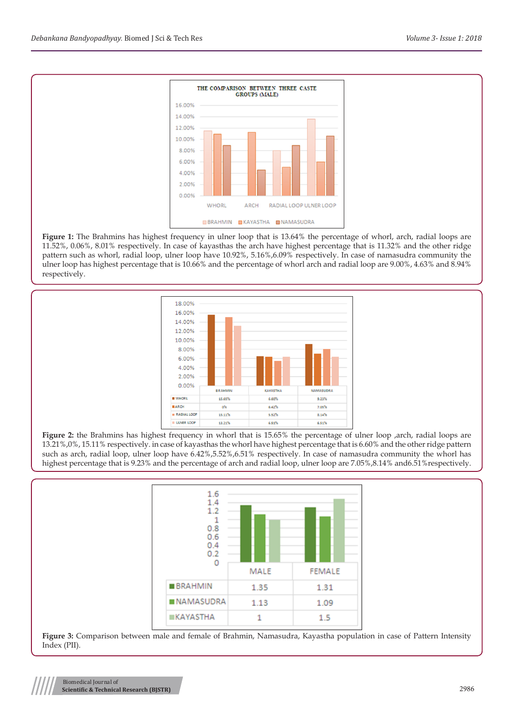

**Figure 1:** The Brahmins has highest frequency in ulner loop that is 13.64% the percentage of whorl, arch, radial loops are 11.52%, 0.06%, 8.01% respectively. In case of kayasthas the arch have highest percentage that is 11.32% and the other ridge pattern such as whorl, radial loop, ulner loop have 10.92%, 5.16%,6.09% respectively. In case of namasudra community the ulner loop has highest percentage that is 10.66% and the percentage of whorl arch and radial loop are 9.00%, 4.63% and 8.94% respectively.



**Figure 2:** the Brahmins has highest frequency in whorl that is 15.65% the percentage of ulner loop ,arch, radial loops are 13.21%,0%, 15.11% respectively. in case of kayasthas the whorl have highest percentage that is 6.60% and the other ridge pattern such as arch, radial loop, ulner loop have 6.42%,5.52%,6.51% respectively. In case of namasudra community the whorl has highest percentage that is 9.23% and the percentage of arch and radial loop, ulner loop are 7.05%,8.14% and6.51%respectively.



**Figure 3:** Comparison between male and female of Brahmin, Namasudra, Kayastha population in case of Pattern Intensity Index (PII).